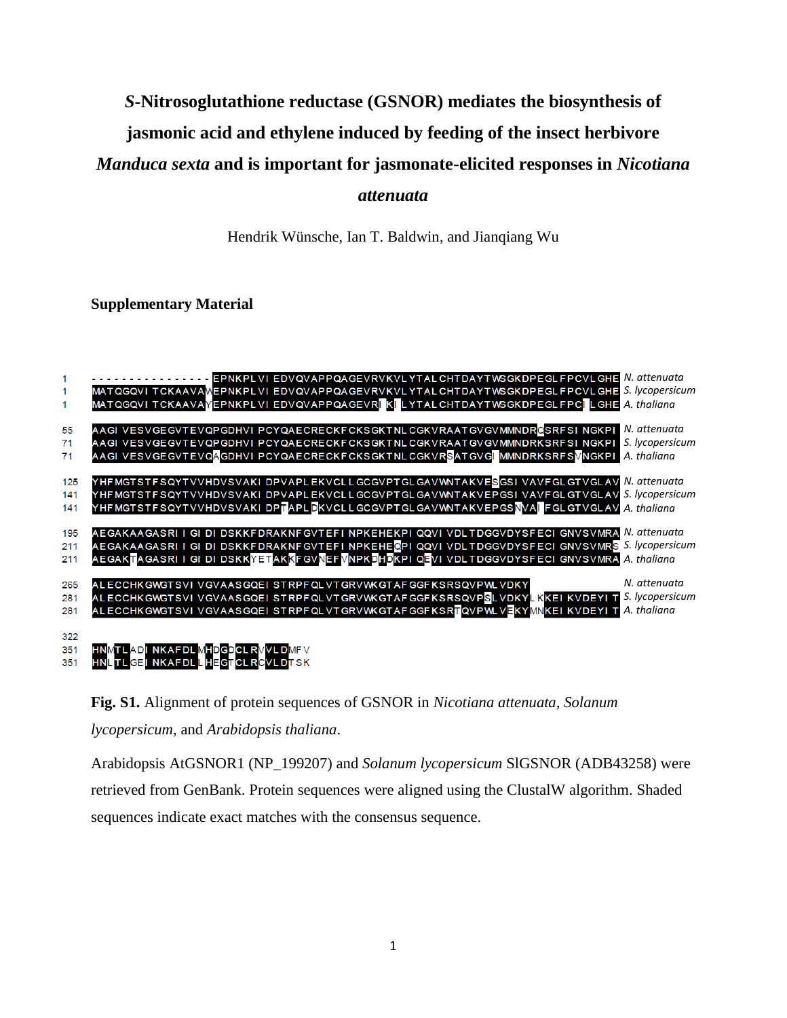## *S***-Nitrosoglutathione reductase (GSNOR) mediates the biosynthesis of**

# **jasmonic acid and ethylene induced by feeding of the insect herbivore**

*Manduca sexta* **and is important for jasmonate-elicited responses in** *Nicotiana* 

#### *attenuata*

Hendrik Wünsche, Ian T. Baldwin, and Jianqiang Wu

#### **Supplementary Material**





Arabidopsis AtGSNOR1 (NP\_199207) and *Solanum lycopersicum* SlGSNOR (ADB43258) were retrieved from GenBank. Protein sequences were aligned using the ClustalW algorithm. Shaded sequences indicate exact matches with the consensus sequence.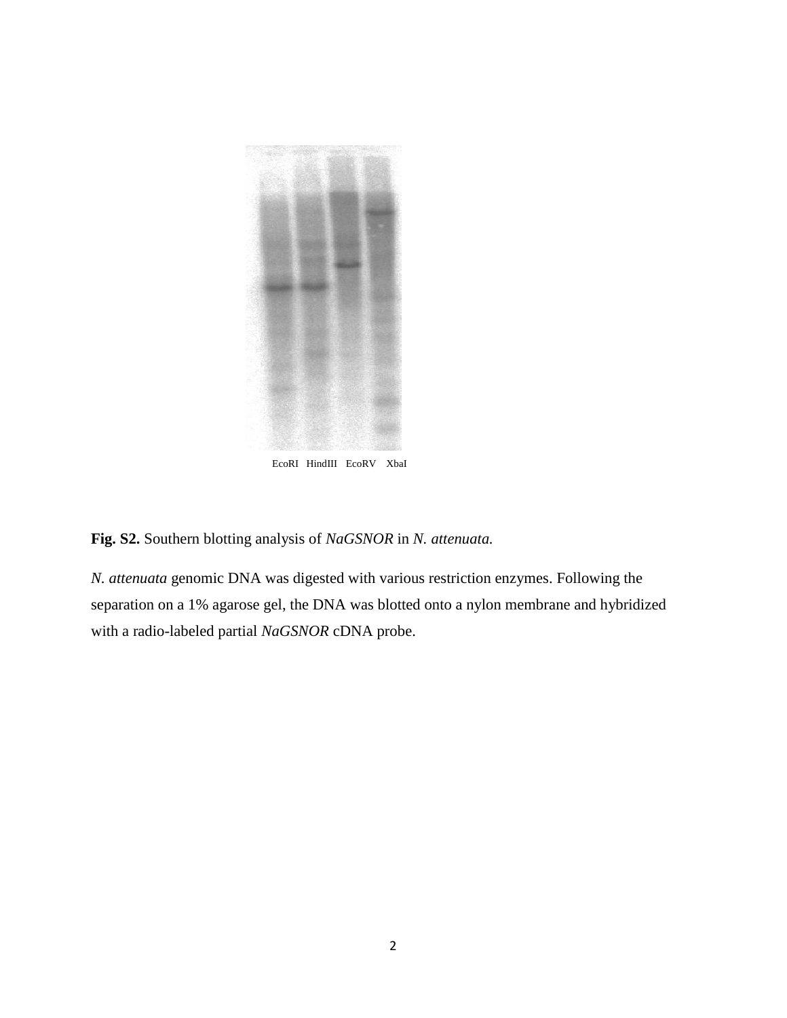

EcoRI HindIII EcoRV XbaI

### **Fig. S2.** Southern blotting analysis of *NaGSNOR* in *N. attenuata.*

*N. attenuata* genomic DNA was digested with various restriction enzymes. Following the separation on a 1% agarose gel, the DNA was blotted onto a nylon membrane and hybridized with a radio-labeled partial *NaGSNOR* cDNA probe.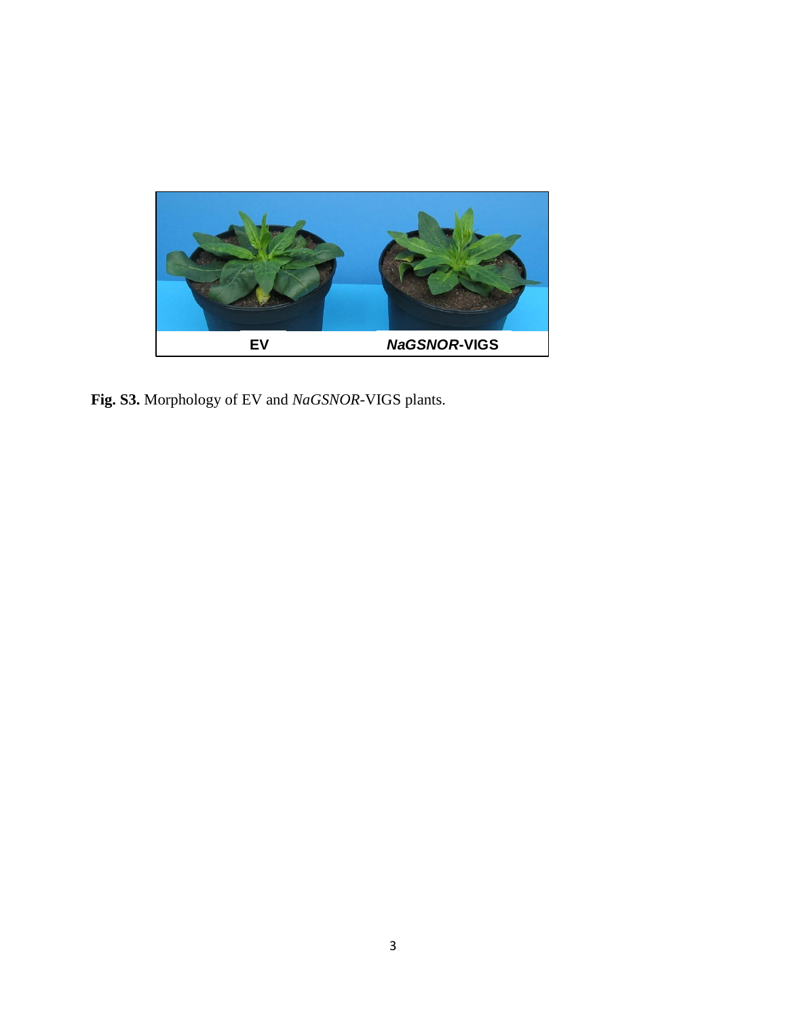

**Fig. S3.** Morphology of EV and *NaGSNOR*-VIGS plants.